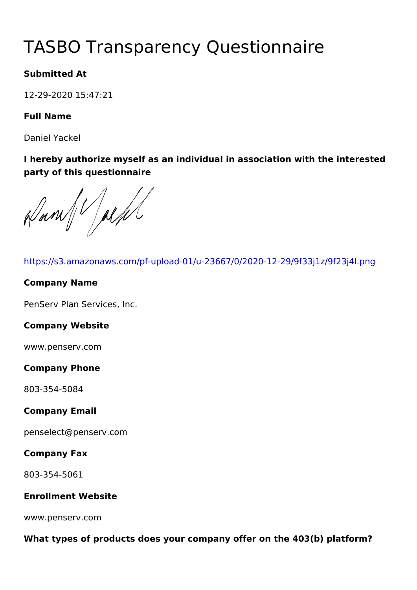# TASBO Transparency Questionna

Submitted At

12-29-2020 15:47:21

Full Name

Daniel Yackel

I hereby authorize myself as an individual in association with the party of this questionnaire

[https://s3.amazonaws.com/pf-upload-01/u-23667/0/2020-12](https://s3.amazonaws.com/pf-upload-01/u-23667/0/2020-12-29/9f33j1z/9f23j4l.png)-29/9f3 Company Name PenServ Plan Services, Inc. Company Website www.penserv.com Company Phone 803-354-5084 Company Email penselect@penserv.com Company Fax 803-354-5061 Enrollment Website www.penserv.com What types of products does your company offer on the  $403(b)$  platform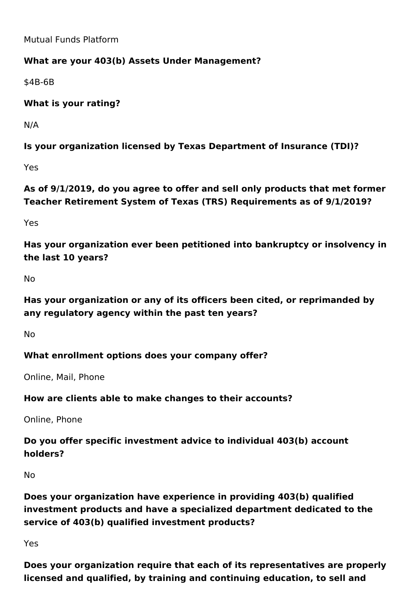Mutual Funds Platform

## **What are your 403(b) Assets Under Management?**

\$4B-6B

**What is your rating?** 

N/A

**Is your organization licensed by Texas Department of Insurance (TDI)?**

Yes

**As of 9/1/2019, do you agree to offer and sell only products that met former Teacher Retirement System of Texas (TRS) Requirements as of 9/1/2019?**

Yes

**Has your organization ever been petitioned into bankruptcy or insolvency in the last 10 years?**

No

**Has your organization or any of its officers been cited, or reprimanded by any regulatory agency within the past ten years?**

No

# **What enrollment options does your company offer?**

Online, Mail, Phone

## **How are clients able to make changes to their accounts?**

Online, Phone

# **Do you offer specific investment advice to individual 403(b) account holders?**

No

**Does your organization have experience in providing 403(b) qualified investment products and have a specialized department dedicated to the service of 403(b) qualified investment products?**

Yes

**Does your organization require that each of its representatives are properly licensed and qualified, by training and continuing education, to sell and**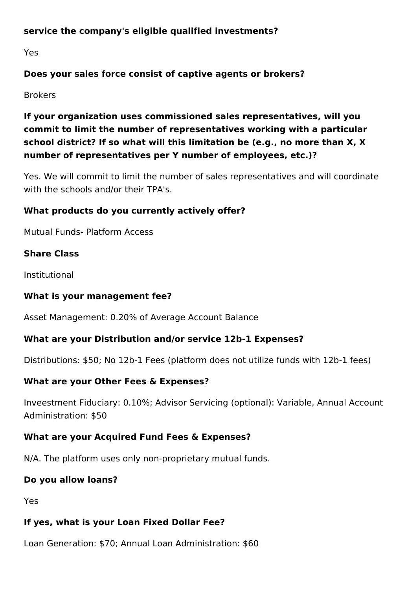#### **service the company's eligible qualified investments?**

Yes

## **Does your sales force consist of captive agents or brokers?**

Brokers

# **If your organization uses commissioned sales representatives, will you commit to limit the number of representatives working with a particular school district? If so what will this limitation be (e.g., no more than X, X number of representatives per Y number of employees, etc.)?**

Yes. We will commit to limit the number of sales representatives and will coordinate with the schools and/or their TPA's.

## **What products do you currently actively offer?**

Mutual Funds- Platform Access

## **Share Class**

Institutional

#### **What is your management fee?**

Asset Management: 0.20% of Average Account Balance

## **What are your Distribution and/or service 12b-1 Expenses?**

Distributions: \$50; No 12b-1 Fees (platform does not utilize funds with 12b-1 fees)

## **What are your Other Fees & Expenses?**

Inveestment Fiduciary: 0.10%; Advisor Servicing (optional): Variable, Annual Account Administration: \$50

## **What are your Acquired Fund Fees & Expenses?**

N/A. The platform uses only non-proprietary mutual funds.

## **Do you allow loans?**

Yes

## **If yes, what is your Loan Fixed Dollar Fee?**

Loan Generation: \$70; Annual Loan Administration: \$60